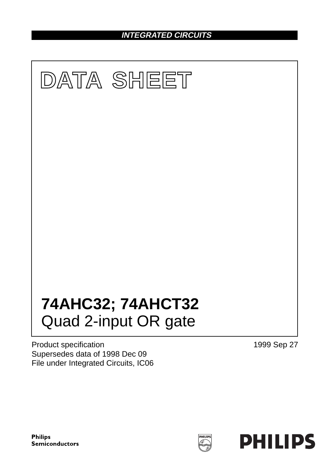# **INTEGRATED CIRCUITS**



Product specification Supersedes data of 1998 Dec 09 File under Integrated Circuits, IC06 1999 Sep 27

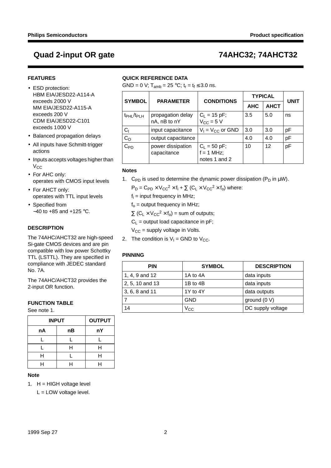## **FEATURES**

- ESD protection: HBM EIA/JESD22-A114-A exceeds 2000 V MM EIA/JESD22-A115-A exceeds 200 V CDM EIA/JESD22-C101 exceeds 1000 V
- Balanced propagation delays
- All inputs have Schmitt-trigger actions
- Inputs accepts voltages higher than  $V_{CC}$
- For AHC only: operates with CMOS input levels
- For AHCT only: operates with TTL input levels
- Specified from −40 to +85 and +125 °C.

## **DESCRIPTION**

The 74AHC/AHCT32 are high-speed Si-gate CMOS devices and are pin compatible with low power Schottky TTL (LSTTL). They are specified in compliance with JEDEC standard No. 7A.

The 74AHC/AHCT32 provides the 2-input OR function.

## **FUNCTION TABLE**

See note 1.

| <b>INPUT</b> | <b>OUTPUT</b> |    |
|--------------|---------------|----|
| nA           | nВ            | nY |
|              |               |    |
|              | н             | н  |
| н            |               | H  |
| ┙            |               |    |

### **Note**

1.  $H = HIGH$  voltage level

L = LOW voltage level.

## **QUICK REFERENCE DATA**

GND = 0 V;  $T_{amb}$  = 25 °C;  $t_r = t_f \le 3.0$  ns.

| <b>SYMBOL</b><br><b>CONDITIONS</b><br><b>PARAMETER</b> |                                   |                                                 | <b>TYPICAL</b> | <b>UNIT</b> |    |  |
|--------------------------------------------------------|-----------------------------------|-------------------------------------------------|----------------|-------------|----|--|
|                                                        |                                   |                                                 | <b>AHC</b>     | <b>AHCT</b> |    |  |
| t <sub>PHL</sub> /t <sub>PLH</sub>                     | propagation delay<br>nA, nB to nY | $C_1 = 15$ pF;<br>$V_{CC} = 5 \text{ V}$        | 3.5            | 5.0         | ns |  |
| $C_1$                                                  | input capacitance                 | $V_1 = V_{CC}$ or GND                           | 3.0            | 3.0         | рF |  |
| C <sub>O</sub>                                         | output capacitance                |                                                 | 4.0            | 4.0         | рF |  |
| $C_{PD}$                                               | power dissipation<br>capacitance  | $C_L = 50 pF;$<br>$f = 1$ MHz;<br>notes 1 and 2 | 10             | 12          | рF |  |

## **Notes**

1. C<sub>PD</sub> is used to determine the dynamic power dissipation (P<sub>D</sub> in  $\mu$ W).

 $P_D = C_{PD} \times V_{CC}^2 \times f_i + \sum (C_L \times V_{CC}^2 \times f_o)$  where:

 $f_i$  = input frequency in MHz;

 $f_0$  = output frequency in MHz;

 $\Sigma$  (C<sub>L</sub> × V<sub>CC</sub><sup>2</sup> × f<sub>o</sub>) = sum of outputs;

 $C_L$  = output load capacitance in pF;

 $V_{CC}$  = supply voltage in Volts.

2. The condition is  $V_1 = GND$  to  $V_{CC}$ .

## **PINNING**

| <b>PIN</b>      | <b>SYMBOL</b> | <b>DESCRIPTION</b> |
|-----------------|---------------|--------------------|
| 1, 4, 9 and 12  | 1A to 4A      | data inputs        |
| 2, 5, 10 and 13 | 1B to 4B      | data inputs        |
| 3, 6, 8 and 11  | 1Y to 4Y      | data outputs       |
|                 | <b>GND</b>    | ground $(0 V)$     |
| 14              | Vcc           | DC supply voltage  |

## **Quad 2-input OR gate 74AHC32; 74AHCT32**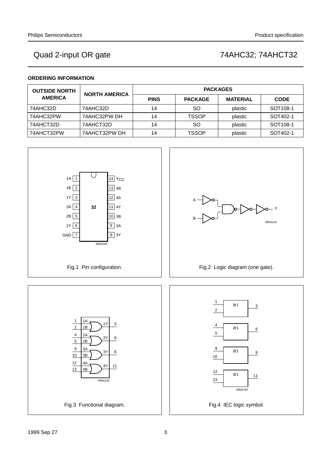## **ORDERING INFORMATION**

| <b>OUTSIDE NORTH</b> | <b>NORTH AMERICA</b> | <b>PACKAGES</b> |                |                 |                      |  |  |  |  |  |
|----------------------|----------------------|-----------------|----------------|-----------------|----------------------|--|--|--|--|--|
| <b>AMERICA</b>       |                      | <b>PINS</b>     | <b>PACKAGE</b> | <b>MATERIAL</b> | <b>CODE</b>          |  |  |  |  |  |
| 74AHC32D             | 74AHC32D             | 14              | <sub>SO</sub>  | plastic         | SOT <sub>108-1</sub> |  |  |  |  |  |
| 74AHC32PW            | 74AHC32PW DH         | 14              | <b>TSSOP</b>   | plastic         | SOT402-1             |  |  |  |  |  |
| 74AHCT32D            | 74AHCT32D            | 14              | <sub>SO</sub>  | plastic         | SOT <sub>108-1</sub> |  |  |  |  |  |
| 74AHCT32PW           | 74AHCT32PW DH        | 14              | <b>TSSOP</b>   | plastic         | SOT402-1             |  |  |  |  |  |

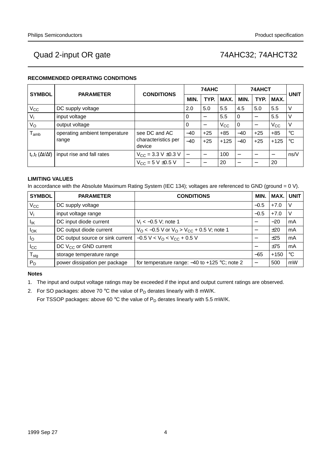## **RECOMMENDED OPERATING CONDITIONS**

| <b>SYMBOL</b>                    | <b>PARAMETER</b>                       | <b>CONDITIONS</b>                   |       | 74AHC                    |              | 74AHCT | <b>UNIT</b>              |              |             |
|----------------------------------|----------------------------------------|-------------------------------------|-------|--------------------------|--------------|--------|--------------------------|--------------|-------------|
|                                  |                                        |                                     | MIN.  | TYP.                     | MAX.         | MIN.   | TYP.                     | MAX.         |             |
| $V_{\rm CC}$                     | DC supply voltage                      |                                     | 2.0   | 5.0                      | 5.5          | 4.5    | 5.0                      | 5.5          |             |
| $V_{1}$                          | input voltage                          |                                     | 0     | $\overline{\phantom{m}}$ | 5.5          | 0      | $\overline{\phantom{m}}$ | 5.5          |             |
| $V_{\rm O}$                      | output voltage                         |                                     | 0     |                          | $V_{\rm CC}$ | 0      |                          | $V_{\rm CC}$ |             |
| l <sub>amb</sub>                 | operating ambient temperature          | see DC and AC                       | $-40$ | $+25$                    | $+85$        | $-40$  | $+25$                    | $+85$        | $^{\circ}C$ |
|                                  | characteristics per<br>range<br>device |                                     | $-40$ | $+25$                    | $+125$       | $-40$  | $+25$                    | $+125$       | $^{\circ}C$ |
| $t_r, t_f (\Delta t / \Delta f)$ | input rise and fall rates              | $V_{\text{CC}}$ = 3.3 V $\pm$ 0.3 V |       |                          | 100          |        |                          |              | ns/V        |
|                                  |                                        | $V_{CC} = 5 V \pm 0.5 V$            |       | $\overline{\phantom{m}}$ | 20           |        |                          | 20           |             |

## **LIMITING VALUES**

In accordance with the Absolute Maximum Rating System (IEC 134); voltages are referenced to GND (ground = 0 V).

| <b>SYMBOL</b>              | <b>PARAMETER</b>                                              | <b>CONDITIONS</b>                                                  | <b>MIN.</b>     | MAX.   | <b>UNIT</b> |
|----------------------------|---------------------------------------------------------------|--------------------------------------------------------------------|-----------------|--------|-------------|
| $V_{\rm CC}$               | DC supply voltage                                             |                                                                    | $-0.5$          | $+7.0$ |             |
| $V_{1}$                    | input voltage range                                           |                                                                    | $-0.5$          | $+7.0$ | V           |
| lικ                        | DC input diode current                                        | $V_1 < -0.5$ V; note 1                                             |                 | $-20$  | mA          |
| $I_{OK}$                   | DC output diode current                                       | $V_{\rm O}$ < -0.5 V or $V_{\rm O}$ > $V_{\rm CC}$ + 0.5 V; note 1 |                 | ±20    | mA          |
| $I_{\rm O}$                | DC output source or sink current $ -0.5 V < VO < VCC + 0.5 V$ |                                                                    |                 | ±25    | mA          |
| $_{\rm lcc}$               | DC V <sub>CC</sub> or GND current                             |                                                                    |                 | ±75    | mA          |
| ${\mathsf T}_{\text{stg}}$ | storage temperature range                                     |                                                                    | $-65$           | $+150$ | $^{\circ}C$ |
| $P_D$                      | power dissipation per package                                 | for temperature range: $-40$ to $+125$ °C; note 2                  | $\qquad \qquad$ | 500    | mW          |

### **Notes**

1. The input and output voltage ratings may be exceeded if the input and output current ratings are observed.

2. For SO packages: above 70 °C the value of  $P_D$  derates linearly with 8 mW/K.

For TSSOP packages: above 60 °C the value of  $P_D$  derates linearly with 5.5 mW/K.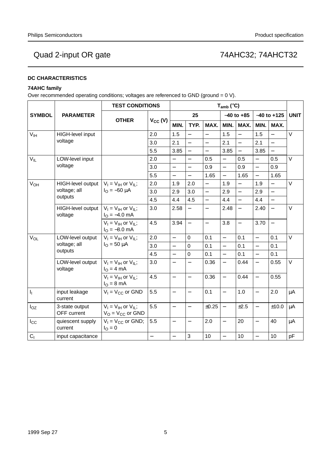## **DC CHARACTERISTICS**

## **74AHC family**

Over recommended operating conditions; voltages are referenced to GND (ground = 0 V).

|                 |                                                        | <b>TEST CONDITIONS</b>                                |              | $T_{amb}$ ( $°C$ )       |                          |                          |                          |                |                          |                          |             |
|-----------------|--------------------------------------------------------|-------------------------------------------------------|--------------|--------------------------|--------------------------|--------------------------|--------------------------|----------------|--------------------------|--------------------------|-------------|
| <b>SYMBOL</b>   | <b>PARAMETER</b>                                       |                                                       |              |                          | 25                       |                          |                          | $-40$ to $+85$ |                          | $-40$ to $+125$          | <b>UNIT</b> |
|                 |                                                        | <b>OTHER</b>                                          | $V_{CC} (V)$ | MIN.                     | TYP.                     | MAX.                     | MIN.                     | MAX.           | MIN.                     | MAX.                     |             |
| V <sub>IH</sub> | HIGH-level input                                       |                                                       | 2.0          | 1.5                      |                          | $\frac{1}{2}$            | 1.5                      |                | 1.5                      | $\equiv$                 | $\vee$      |
|                 | voltage                                                |                                                       | 3.0          | 2.1                      | $\overline{\phantom{0}}$ | $\overline{\phantom{0}}$ | 2.1                      |                | 2.1                      | $\overline{\phantom{0}}$ |             |
|                 |                                                        |                                                       | 5.5          | 3.85                     | $\overline{\phantom{0}}$ | $\equiv$                 | 3.85                     | $\equiv$       | 3.85                     | $\equiv$                 |             |
| $V_{IL}$        | LOW-level input                                        |                                                       | 2.0          | $\overline{\phantom{0}}$ | $\overline{\phantom{0}}$ | 0.5                      | $\overline{\phantom{0}}$ | 0.5            | $\qquad \qquad -$        | 0.5                      | $\vee$      |
|                 | voltage                                                |                                                       | 3.0          |                          |                          | 0.9                      | $\overline{\phantom{0}}$ | 0.9            | $\overline{a}$           | 0.9                      |             |
|                 |                                                        |                                                       | 5.5          | $\equiv$                 | $\overline{\phantom{0}}$ | 1.65                     | $\overline{\phantom{0}}$ | 1.65           | $\overline{\phantom{0}}$ | 1.65                     |             |
| $V_{OH}$        | HIGH-level output                                      | $V_1 = V_{1H}$ or $V_{1L}$ ;                          | 2.0          | 1.9                      | 2.0                      | $\equiv$                 | 1.9                      | $\equiv$       | 1.9                      | $\equiv$                 | $\vee$      |
|                 | voltage; all                                           | $I_{\Omega} = -50 \mu A$                              | 3.0          | 2.9                      | 3.0                      | $\overline{\phantom{0}}$ | 2.9                      | $\equiv$       | 2.9                      | $\overline{\phantom{0}}$ |             |
| outputs         |                                                        | 4.5                                                   | 4.4          | 4.5                      | $\overline{a}$           | 4.4                      | $\overline{a}$           | 4.4            | $\overline{a}$           |                          |             |
|                 | HIGH-level output<br>voltage                           | $V_1 = V_{1H}$ or $V_{1L}$ ;<br>$IO = -4.0$ mA        | 3.0          | 2.58                     |                          | $\equiv$                 | 2.48                     | $\equiv$       | 2.40                     | $\equiv$                 | $\vee$      |
|                 | $V_I = V_{IH}$ or $V_{IL}$ ;<br>$I_{\Omega} = -8.0$ mA | 4.5                                                   | 3.94         | $\overline{\phantom{0}}$ | $\overline{\phantom{0}}$ | 3.8                      | $\overline{\phantom{0}}$ | 3.70           | $\overline{\phantom{0}}$ |                          |             |
| V <sub>OL</sub> | LOW-level output                                       | $V_1 = V_{1H}$ or $V_{1L}$ ;                          | 2.0          | $\overline{a}$           | $\mathbf 0$              | 0.1                      | $\overline{\phantom{0}}$ | 0.1            | $\overline{a}$           | 0.1                      | $\vee$      |
|                 | voltage; all                                           | $I_{\rm O} = 50 \mu A$                                | 3.0          | $\equiv$                 | $\mathbf 0$              | 0.1                      | $\equiv$                 | 0.1            | $\equiv$                 | 0.1                      |             |
|                 | outputs                                                |                                                       | 4.5          | $\overline{\phantom{0}}$ | $\mathbf 0$              | 0.1                      | $\overline{\phantom{0}}$ | 0.1            | $\overline{\phantom{0}}$ | 0.1                      |             |
|                 | LOW-level output<br>voltage                            | $V_I = V_{IH}$ or $V_{IL}$ ;<br>$IO = 4 mA$           | 3.0          | $\overline{\phantom{0}}$ |                          | 0.36                     | $\equiv$                 | 0.44           | $\overline{\phantom{0}}$ | 0.55                     | $\vee$      |
|                 |                                                        | $V_I = V_{IH}$ or $V_{IL}$ ;<br>$IO = 8 mA$           | 4.5          | $\equiv$                 | $\overline{\phantom{0}}$ | 0.36                     | $\equiv$                 | 0.44           | $\overline{a}$           | 0.55                     |             |
| $I_{\rm L}$     | input leakage<br>current                               | $V_1 = V_{CC}$ or GND                                 | 5.5          | $\overline{\phantom{0}}$ | $\overline{\phantom{0}}$ | 0.1                      | $\overline{\phantom{0}}$ | 1.0            | $\overline{\phantom{0}}$ | 2.0                      | $\mu A$     |
| $I_{OZ}$        | 3-state output<br>OFF current                          | $V_I = V_{IH}$ or $V_{IL}$ ;<br>$V_O = V_{CC}$ or GND | 5.5          | $\overline{\phantom{0}}$ | $\overline{\phantom{0}}$ | ±0.25                    | $\overline{\phantom{0}}$ | ±2.5           | $\overline{\phantom{0}}$ | ±10.0                    | $\mu$ A     |
| $I_{\rm CC}$    | quiescent supply<br>current                            | $V_1 = V_{CC}$ or GND;<br>$I_{\rm O} = 0$             | 5.5          | $\qquad \qquad -$        | $\qquad \qquad -$        | 2.0                      | $\overline{\phantom{0}}$ | 20             | $\overline{\phantom{0}}$ | 40                       | $\mu$ A     |
| C <sub>1</sub>  | input capacitance                                      |                                                       |              | $\overline{\phantom{0}}$ | 3                        | 10                       | $\equiv$                 | 10             | $\qquad \qquad -$        | 10                       | pF          |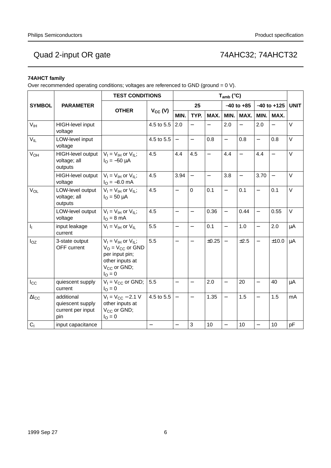## **74AHCT family**

Over recommended operating conditions; voltages are referenced to GND (ground = 0 V).

|                           | <b>TEST CONDITIONS</b>                                     |                                                                                                                            |                      |                          |                          | $T_{amb}$ (°C)           |                          |                          |                          |                          |             |
|---------------------------|------------------------------------------------------------|----------------------------------------------------------------------------------------------------------------------------|----------------------|--------------------------|--------------------------|--------------------------|--------------------------|--------------------------|--------------------------|--------------------------|-------------|
| <b>SYMBOL</b>             | <b>PARAMETER</b>                                           |                                                                                                                            |                      |                          | 25                       |                          |                          | $-40$ to $+85$           |                          | $-40$ to $+125$          | <b>UNIT</b> |
|                           |                                                            | <b>OTHER</b>                                                                                                               | $V_{CC} (V)$<br>MIN. |                          | TYP.                     | MAX.                     | MIN.                     | MAX.                     | MIN.                     | MAX.                     |             |
| V <sub>IH</sub>           | HIGH-level input<br>voltage                                |                                                                                                                            | 4.5 to 5.5           | 2.0                      | $\overline{\phantom{0}}$ |                          | 2.0                      | $\equiv$                 | 2.0                      |                          | $\vee$      |
| $V_{IL}$                  | LOW-level input<br>voltage                                 |                                                                                                                            | 4.5 to 5.5           | $\equiv$                 | $\equiv$                 | 0.8                      | $\equiv$                 | 0.8                      | $\equiv$                 | 0.8                      | $\vee$      |
| $V_{OH}$                  | HIGH-level output<br>voltage; all<br>outputs               | $V_1 = V_{1H}$ or $V_{1L}$ ;<br>$I_{\Omega} = -50 \mu A$                                                                   | 4.5                  | 4.4                      | 4.5                      | $\overline{\phantom{0}}$ | 4.4                      | $\overline{\phantom{0}}$ | 4.4                      |                          | $\vee$      |
|                           | HIGH-level output<br>voltage                               | $V_I = V_{IH}$ or $V_{IL}$ ;<br>$I_{\text{O}} = -8.0 \text{ mA}$                                                           | 4.5                  | 3.94                     | $\equiv$                 | $\equiv$                 | 3.8                      | $\overline{\phantom{0}}$ | 3.70                     | $\overline{\phantom{0}}$ | $\vee$      |
| $V_{OL}$                  | LOW-level output<br>voltage; all<br>outputs                | $V_1 = V_{1H}$ or $V_{1I}$ ;<br>$I_{\text{O}} = 50 \mu A$                                                                  | 4.5                  | $\overline{\phantom{0}}$ | $\mathbf 0$              | 0.1                      | $\overline{\phantom{0}}$ | 0.1                      | $\overline{\phantom{0}}$ | 0.1                      | $\vee$      |
|                           | LOW-level output<br>voltage                                | $V_I = V_{IH}$ or $V_{IL}$ ;<br>$I_{\rm O} = 8 \text{ mA}$                                                                 | 4.5                  | $\overline{\phantom{0}}$ | $\overline{\phantom{0}}$ | 0.36                     | $\overline{\phantom{0}}$ | 0.44                     | $\overline{\phantom{0}}$ | 0.55                     | $\vee$      |
| $\mathbf{I}_{\mathbf{I}}$ | input leakage<br>current                                   | $V_I = V_{IH}$ or $V_{IL}$                                                                                                 | 5.5                  | $\qquad \qquad -$        | $\qquad \qquad -$        | 0.1                      | $\overline{\phantom{0}}$ | 1.0                      | $\equiv$                 | 2.0                      | μA          |
| $I_{OZ}$                  | 3-state output<br>OFF current                              | $V_1 = V_{1H}$ or $V_{1L}$ ;<br>$V_O = V_{CC}$ or GND<br>per input pin;<br>other inputs at<br>$V_{CC}$ or GND;<br>$IO = 0$ | 5.5                  | $\overline{\phantom{0}}$ | $\overline{\phantom{0}}$ | ±0.25                    | $\overline{\phantom{m}}$ | ±2.5                     | $\qquad \qquad -$        | ±10.0                    | $\mu$ A     |
| $I_{\rm CC}$              | quiescent supply<br>current                                | $V_1 = V_{CC}$ or GND;<br>$I_{\rm O} = 0$                                                                                  | 5.5                  | $\overline{\phantom{0}}$ | $\equiv$                 | 2.0                      | $\overline{\phantom{0}}$ | 20                       | $\equiv$                 | 40                       | μA          |
| $\Delta I_{CC}$           | additional<br>quiescent supply<br>current per input<br>pin | $V_1 = V_{CC} - 2.1 V$<br>other inputs at<br>V <sub>CC</sub> or GND;<br>$I_{\rm O} = 0$                                    | 4.5 to 5.5           | $\overline{\phantom{m}}$ | $\overline{\phantom{0}}$ | 1.35                     | $\overline{\phantom{0}}$ | 1.5                      | $\overline{\phantom{0}}$ | 1.5                      | mA          |
| C <sub>1</sub>            | input capacitance                                          |                                                                                                                            |                      |                          | 3                        | 10                       | $\overline{\phantom{0}}$ | 10                       |                          | 10                       | pF          |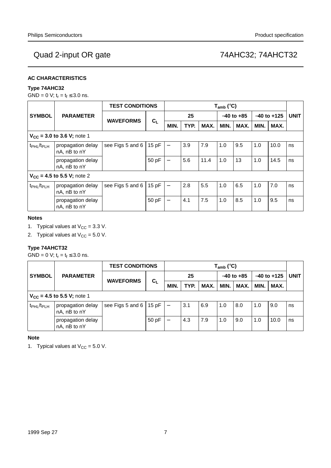## **AC CHARACTERISTICS**

## **Type 74AHC32**

GND = 0 V;  $t_r = t_f \le 3.0$  ns.

|                                    |                                          | <b>TEST CONDITIONS</b> | $T_{amb}$ (°C) |                          |      |      |      |                |      |                 |    |
|------------------------------------|------------------------------------------|------------------------|----------------|--------------------------|------|------|------|----------------|------|-----------------|----|
| <b>SYMBOL</b>                      | <b>PARAMETER</b>                         | <b>WAVEFORMS</b>       |                |                          | 25   |      |      | $-40$ to $+85$ |      | $-40$ to $+125$ |    |
|                                    |                                          |                        | $C_L$          | MIN.                     | TYP. | MAX. | MIN. | MAX.           | MIN. | MAX.            |    |
| $V_{CC}$ = 3.0 to 3.6 V; note 1    |                                          |                        |                |                          |      |      |      |                |      |                 |    |
| t <sub>PHL</sub> /t <sub>PLH</sub> | propagation delay<br>nA, nB to nY        | see Figs 5 and 6       | 15pF           | $\qquad \qquad -$        | 3.9  | 7.9  | 1.0  | 9.5            | 1.0  | 10.0            | ns |
|                                    | propagation delay<br>nA, nB to nY        |                        | 50 pF          |                          | 5.6  | 11.4 | 1.0  | 13             | 1.0  | 14.5            | ns |
|                                    | $V_{CC}$ = 4.5 to 5.5 V; note 2          |                        |                |                          |      |      |      |                |      |                 |    |
| t <sub>PHL</sub> /t <sub>PLH</sub> | propagation delay<br>$nA$ , $nB$ to $nY$ | see Figs 5 and 6       | 15pF           | $\qquad \qquad -$        | 2.8  | 5.5  | 1.0  | 6.5            | 1.0  | 7.0             | ns |
|                                    | propagation delay<br>nA, nB to nY        |                        | 50 pF          | $\overline{\phantom{0}}$ | 4.1  | 7.5  | 1.0  | 8.5            | 1.0  | 9.5             | ns |

## **Notes**

- 1. Typical values at  $V_{CC} = 3.3$  V.
- 2. Typical values at  $V_{CC} = 5.0 V$ .

## **Type 74AHCT32**

 $GND = 0$  V;  $t_r = t_f \leq 3.0$  ns.

|                                    |                                   | <b>TEST CONDITIONS</b> |               | $T_{amb}$ (°C) |      |                |      |                 |      |             |    |
|------------------------------------|-----------------------------------|------------------------|---------------|----------------|------|----------------|------|-----------------|------|-------------|----|
| <b>SYMBOL</b><br><b>PARAMETER</b>  |                                   | $C_L$                  | 25            |                |      | $-40$ to $+85$ |      | $-40$ to $+125$ |      | <b>UNIT</b> |    |
|                                    | <b>WAVEFORMS</b>                  |                        | MIN.          | TYP.           | MAX. | MIN.           | MAX. | MIN.            | MAX. |             |    |
|                                    | $V_{CC}$ = 4.5 to 5.5 V; note 1   |                        |               |                |      |                |      |                 |      |             |    |
| t <sub>PHL</sub> /t <sub>PLH</sub> | propagation delay<br>nA, nB to nY | see Figs 5 and 6 $ $   | 15 pF $\vert$ |                | 3.1  | 6.9            | 1.0  | 8.0             | 1.0  | 9.0         | ns |
|                                    | propagation delay<br>nA, nB to nY |                        | 50 pF         |                | 4.3  | 7.9            | 1.0  | 9.0             | 1.0  | 10.0        | ns |

## **Note**

1. Typical values at  $V_{CC} = 5.0$  V.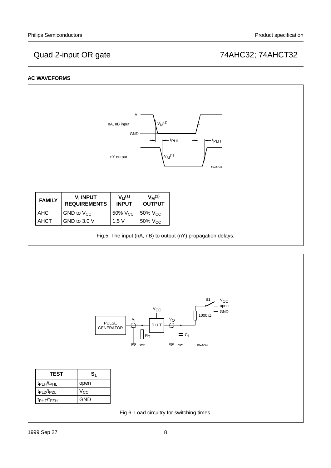## **AC WAVEFORMS**



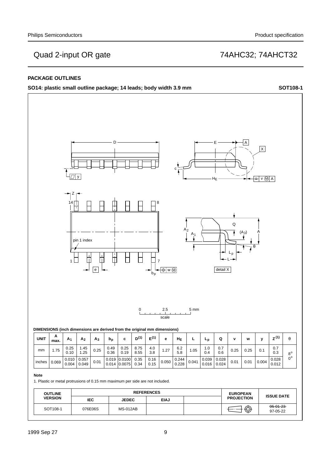## **PACKAGE OUTLINES**

**SO14: plastic small outline package; 14 leads; body width 3.9 mm SOT108-1**

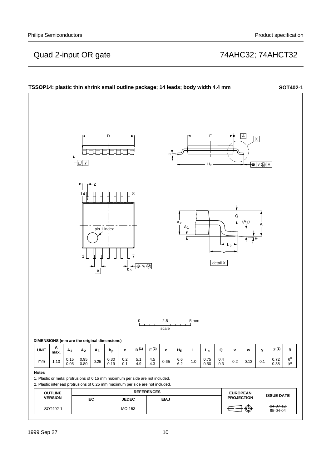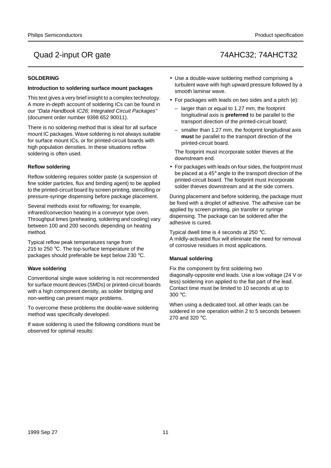## **SOLDERING**

### **Introduction to soldering surface mount packages**

This text gives a very brief insight to a complex technology. A more in-depth account of soldering ICs can be found in our "Data Handbook IC26; Integrated Circuit Packages" (document order number 9398 652 90011).

There is no soldering method that is ideal for all surface mount IC packages. Wave soldering is not always suitable for surface mount ICs, or for printed-circuit boards with high population densities. In these situations reflow soldering is often used.

## **Reflow soldering**

Reflow soldering requires solder paste (a suspension of fine solder particles, flux and binding agent) to be applied to the printed-circuit board by screen printing, stencilling or pressure-syringe dispensing before package placement.

Several methods exist for reflowing; for example, infrared/convection heating in a conveyor type oven. Throughput times (preheating, soldering and cooling) vary between 100 and 200 seconds depending on heating method.

Typical reflow peak temperatures range from 215 to 250 °C. The top-surface temperature of the packages should preferable be kept below 230 °C.

## **Wave soldering**

Conventional single wave soldering is not recommended for surface mount devices (SMDs) or printed-circuit boards with a high component density, as solder bridging and non-wetting can present major problems.

To overcome these problems the double-wave soldering method was specifically developed.

If wave soldering is used the following conditions must be observed for optimal results:

- Use a double-wave soldering method comprising a turbulent wave with high upward pressure followed by a smooth laminar wave.
- For packages with leads on two sides and a pitch (e):
	- larger than or equal to 1.27 mm, the footprint longitudinal axis is **preferred** to be parallel to the transport direction of the printed-circuit board;
	- smaller than 1.27 mm, the footprint longitudinal axis **must** be parallel to the transport direction of the printed-circuit board.

The footprint must incorporate solder thieves at the downstream end.

• For packages with leads on four sides, the footprint must be placed at a 45° angle to the transport direction of the printed-circuit board. The footprint must incorporate solder thieves downstream and at the side corners.

During placement and before soldering, the package must be fixed with a droplet of adhesive. The adhesive can be applied by screen printing, pin transfer or syringe dispensing. The package can be soldered after the adhesive is cured.

Typical dwell time is 4 seconds at 250 °C. A mildly-activated flux will eliminate the need for removal of corrosive residues in most applications.

## **Manual soldering**

Fix the component by first soldering two diagonally-opposite end leads. Use a low voltage (24 V or less) soldering iron applied to the flat part of the lead. Contact time must be limited to 10 seconds at up to 300 °C.

When using a dedicated tool, all other leads can be soldered in one operation within 2 to 5 seconds between 270 and 320 °C.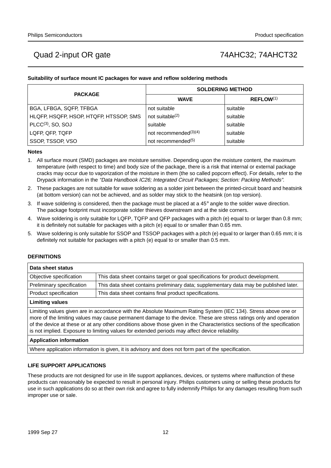## **Suitability of surface mount IC packages for wave and reflow soldering methods**

| <b>PACKAGE</b>                         | <b>SOLDERING METHOD</b>           |                       |  |  |  |  |  |
|----------------------------------------|-----------------------------------|-----------------------|--|--|--|--|--|
|                                        | <b>WAVE</b>                       | REFLOW <sup>(1)</sup> |  |  |  |  |  |
| BGA, LFBGA, SQFP, TFBGA                | not suitable                      | suitable              |  |  |  |  |  |
| HLQFP, HSQFP, HSOP, HTQFP, HTSSOP, SMS | not suitable $(2)$                | suitable              |  |  |  |  |  |
| $PLCC(3)$ , SO, SOJ                    | suitable                          | suitable              |  |  |  |  |  |
| LQFP, QFP, TQFP                        | not recommended <sup>(3)(4)</sup> | suitable              |  |  |  |  |  |
| SSOP, TSSOP, VSO                       | not recommended <sup>(5)</sup>    | suitable              |  |  |  |  |  |

### **Notes**

- 1. All surface mount (SMD) packages are moisture sensitive. Depending upon the moisture content, the maximum temperature (with respect to time) and body size of the package, there is a risk that internal or external package cracks may occur due to vaporization of the moisture in them (the so called popcorn effect). For details, refer to the Drypack information in the "Data Handbook IC26; Integrated Circuit Packages; Section: Packing Methods".
- 2. These packages are not suitable for wave soldering as a solder joint between the printed-circuit board and heatsink (at bottom version) can not be achieved, and as solder may stick to the heatsink (on top version).
- 3. If wave soldering is considered, then the package must be placed at a  $45^\circ$  angle to the solder wave direction. The package footprint must incorporate solder thieves downstream and at the side corners.
- 4. Wave soldering is only suitable for LQFP, TQFP and QFP packages with a pitch (e) equal to or larger than 0.8 mm; it is definitely not suitable for packages with a pitch (e) equal to or smaller than 0.65 mm.
- 5. Wave soldering is only suitable for SSOP and TSSOP packages with a pitch (e) equal to or larger than 0.65 mm; it is definitely not suitable for packages with a pitch (e) equal to or smaller than 0.5 mm.

## **DEFINITIONS**

| Data sheet status                                                                                              |                                                                                       |  |  |  |  |
|----------------------------------------------------------------------------------------------------------------|---------------------------------------------------------------------------------------|--|--|--|--|
| Objective specification                                                                                        | This data sheet contains target or goal specifications for product development.       |  |  |  |  |
| Preliminary specification                                                                                      | This data sheet contains preliminary data; supplementary data may be published later. |  |  |  |  |
| Product specification                                                                                          | This data sheet contains final product specifications.                                |  |  |  |  |
| <b>Limiting values</b>                                                                                         |                                                                                       |  |  |  |  |
| Limiting values given are in accordance with the Absolute Maximum Rating System (IEC 134). Stress above one or |                                                                                       |  |  |  |  |

more of the limiting values may cause permanent damage to the device. These are stress ratings only and operation of the device at these or at any other conditions above those given in the Characteristics sections of the specification is not implied. Exposure to limiting values for extended periods may affect device reliability.

### **Application information**

Where application information is given, it is advisory and does not form part of the specification.

### **LIFE SUPPORT APPLICATIONS**

These products are not designed for use in life support appliances, devices, or systems where malfunction of these products can reasonably be expected to result in personal injury. Philips customers using or selling these products for use in such applications do so at their own risk and agree to fully indemnify Philips for any damages resulting from such improper use or sale.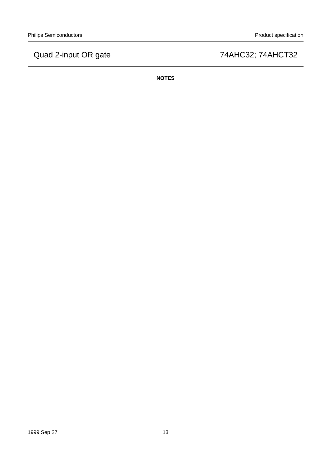**NOTES**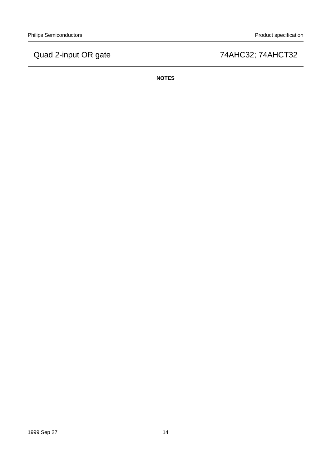**NOTES**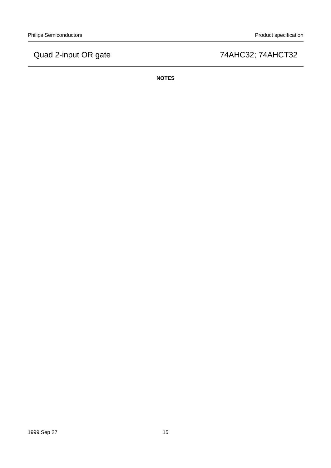**NOTES**